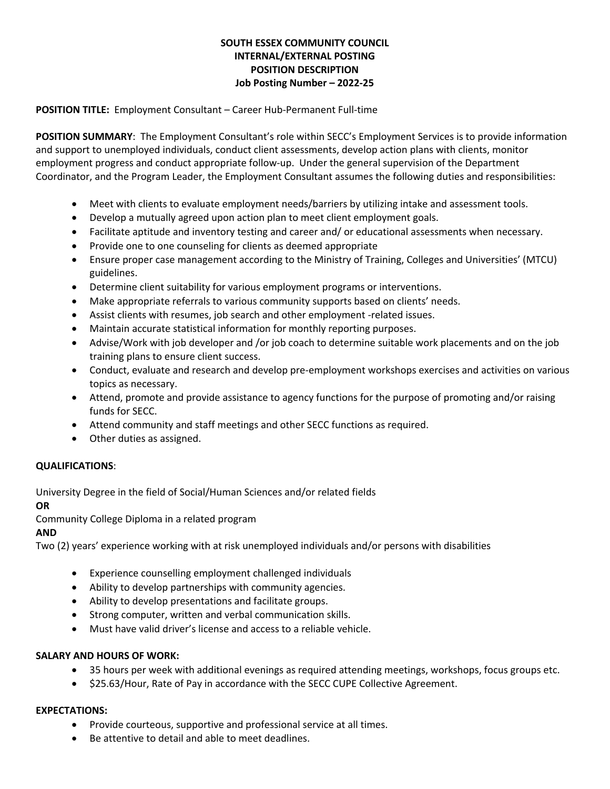# **SOUTH ESSEX COMMUNITY COUNCIL INTERNAL/EXTERNAL POSTING POSITION DESCRIPTION Job Posting Number – 2022-25**

**POSITION TITLE:** Employment Consultant – Career Hub-Permanent Full-time

**POSITION SUMMARY**: The Employment Consultant's role within SECC's Employment Services is to provide information and support to unemployed individuals, conduct client assessments, develop action plans with clients, monitor employment progress and conduct appropriate follow-up. Under the general supervision of the Department Coordinator, and the Program Leader, the Employment Consultant assumes the following duties and responsibilities:

- Meet with clients to evaluate employment needs/barriers by utilizing intake and assessment tools.
- Develop a mutually agreed upon action plan to meet client employment goals.
- Facilitate aptitude and inventory testing and career and/ or educational assessments when necessary.
- Provide one to one counseling for clients as deemed appropriate
- Ensure proper case management according to the Ministry of Training, Colleges and Universities' (MTCU) guidelines.
- Determine client suitability for various employment programs or interventions.
- Make appropriate referrals to various community supports based on clients' needs.
- Assist clients with resumes, job search and other employment -related issues.
- Maintain accurate statistical information for monthly reporting purposes.
- Advise/Work with job developer and /or job coach to determine suitable work placements and on the job training plans to ensure client success.
- Conduct, evaluate and research and develop pre-employment workshops exercises and activities on various topics as necessary.
- Attend, promote and provide assistance to agency functions for the purpose of promoting and/or raising funds for SECC.
- Attend community and staff meetings and other SECC functions as required.
- Other duties as assigned.

## **QUALIFICATIONS**:

University Degree in the field of Social/Human Sciences and/or related fields

## **OR**

Community College Diploma in a related program

## **AND**

Two (2) years' experience working with at risk unemployed individuals and/or persons with disabilities

- Experience counselling employment challenged individuals
- Ability to develop partnerships with community agencies.
- Ability to develop presentations and facilitate groups.
- Strong computer, written and verbal communication skills.
- Must have valid driver's license and access to a reliable vehicle.

## **SALARY AND HOURS OF WORK:**

- 35 hours per week with additional evenings as required attending meetings, workshops, focus groups etc.
- \$25.63/Hour, Rate of Pay in accordance with the SECC CUPE Collective Agreement.

#### **EXPECTATIONS:**

- Provide courteous, supportive and professional service at all times.
- Be attentive to detail and able to meet deadlines.